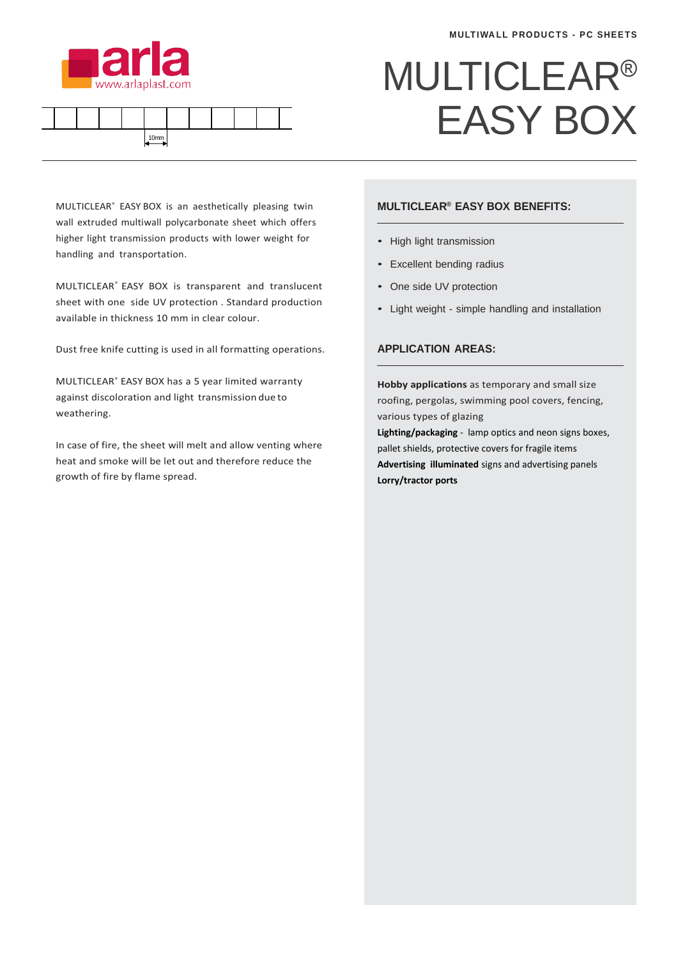



## MULTICLEAR® EASY BOX

MULTICLEAR® EASY BOX is an aesthetically pleasing twin wall extruded multiwall polycarbonate sheet which offers higher light transmission products with lower weight for handling and transportation.

MULTICLEAR<sup>®</sup> EASY BOX is transparent and translucent sheet with one side UV protection . Standard production available in thickness 10 mm in clear colour.

Dust free knife cutting is used in all formatting operations.

MULTICLEAR<sup>®</sup> EASY BOX has a 5 year limited warranty against discoloration and light transmission due to weathering.

In case of fire, the sheet will melt and allow venting where heat and smoke will be let out and therefore reduce the growth of fire by flame spread.

## **MULTICLEAR® EASY BOX BENEFITS:**

- High light transmission
- Excellent bending radius
- One side UV protection
- Light weight simple handling and installation

## **APPLICATION AREAS:**

**Hobby applications** as temporary and small size roofing, pergolas, swimming pool covers, fencing, various types of glazing

**Lighting/packaging** - lamp optics and neon signs boxes, pallet shields, protective covers for fragile items **Advertising illuminated** signs and advertising panels **Lorry/tractor ports**